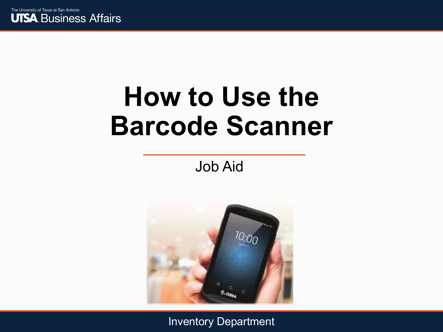

# **How to Use the Barcode Scanner**

Job Aid

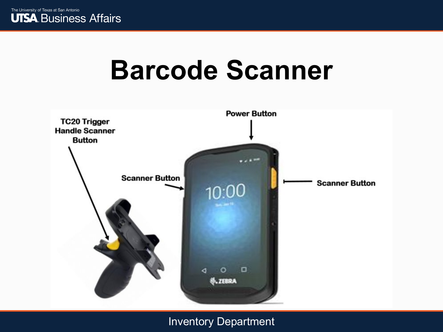

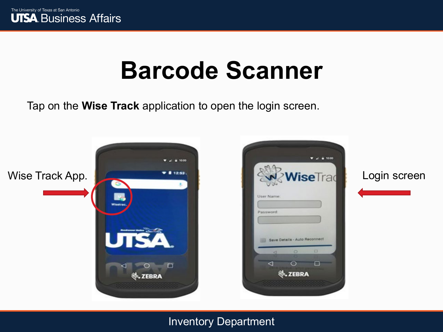

Tap on the **Wise Track** application to open the login screen.

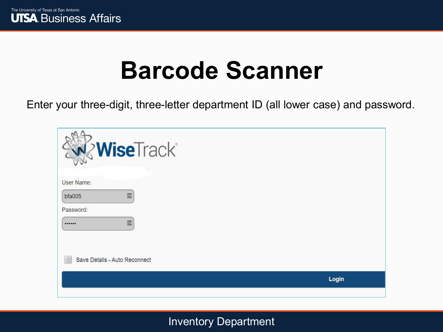Enter your three-digit, three-letter department ID (all lower case) and password.

| WiseTrack®                                                   |       |
|--------------------------------------------------------------|-------|
| User Name:<br>$\blacksquare$<br>bfa005<br>Password:<br>國<br> |       |
| Save Details - Auto Reconnect                                |       |
|                                                              | Login |
|                                                              |       |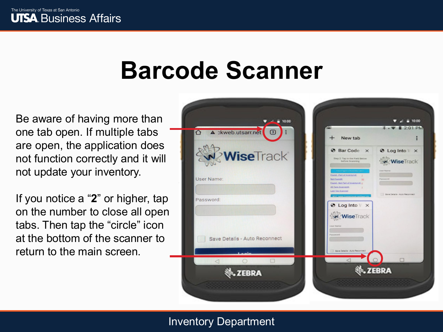Be aware of having more than one tab open. If multiple tabs are open, the application does not function correctly and it will not update your inventory.

If you notice a "**2**" or higher, tap on the number to close all open tabs. Then tap the "circle" icon at the bottom of the scanner to return to the main screen.

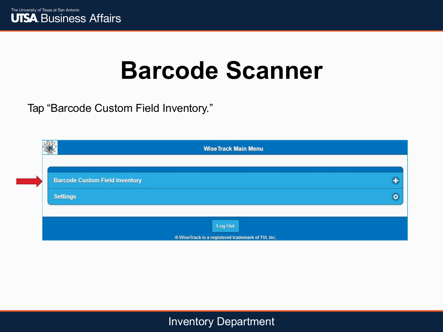

Tap "Barcode Custom Field Inventory."

|                                       | <b>WiseTrack Main Menu</b>                        |   |
|---------------------------------------|---------------------------------------------------|---|
|                                       |                                                   |   |
| <b>Barcode Custom Field Inventory</b> |                                                   | ÷ |
| <b>Settings</b>                       |                                                   | ö |
|                                       |                                                   |   |
|                                       | Log Out                                           |   |
|                                       | ® WiseTrack is a registered trademark of TVL Inc. |   |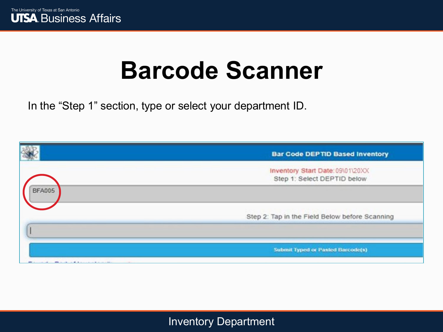In the "Step 1" section, type or select your department ID.

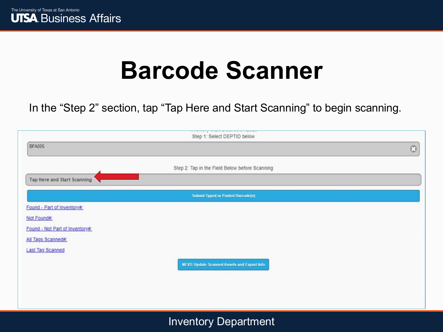In the "Step 2" section, tap "Tap Here and Start Scanning" to begin scanning.

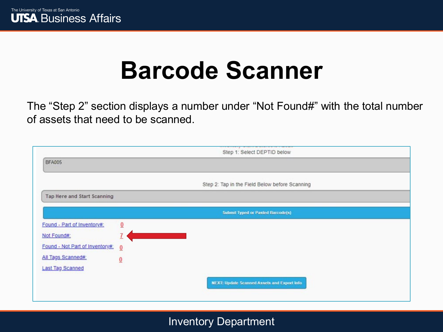The "Step 2" section displays a number under "Not Found#" with the total number of assets that need to be scanned.

|                                 | Step 1: Select DEPTID below                        |
|---------------------------------|----------------------------------------------------|
| <b>BFA005</b>                   |                                                    |
|                                 |                                                    |
|                                 | Step 2: Tap in the Field Below before Scanning     |
| Tap Here and Start Scanning     |                                                    |
|                                 | <b>Submit Typed or Pasted Barcode(s)</b>           |
| Found - Part of Inventory#:     | $\overline{0}$                                     |
| Not Found#:                     |                                                    |
| Found - Not Part of Inventory#: | $\overline{0}$                                     |
| All Tags Scanned#:              | $\underline{0}$                                    |
| <b>Last Tag Scanned</b>         |                                                    |
|                                 | <b>NEXT: Update Scanned Assets and Export Info</b> |
|                                 |                                                    |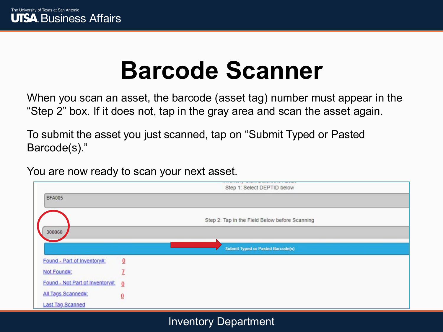When you scan an asset, the barcode (asset tag) number must appear in the "Step 2" box. If it does not, tap in the gray area and scan the asset again.

To submit the asset you just scanned, tap on "Submit Typed or Pasted Barcode(s)."

You are now ready to scan your next asset.

|                                 | considerably an exception account the construction<br>Step 1: Select DEPTID below |  |
|---------------------------------|-----------------------------------------------------------------------------------|--|
| <b>BFA005</b>                   |                                                                                   |  |
|                                 | Step 2: Tap in the Field Below before Scanning                                    |  |
| 300060                          |                                                                                   |  |
|                                 | <b>Submit Typed or Pasted Barcode(s)</b>                                          |  |
| Found - Part of Inventory#:     | $\overline{0}$                                                                    |  |
| Not Found#:                     |                                                                                   |  |
| Found - Not Part of Inventory#: | $\overline{0}$                                                                    |  |
| All Tags Scanned#:              | $\underline{0}$                                                                   |  |
| <b>Last Tag Scanned</b>         |                                                                                   |  |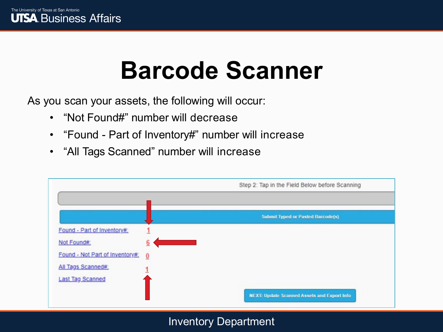As you scan your assets, the following will occur:

- "Not Found#" number will decrease
- "Found Part of Inventory#" number will increase
- "All Tags Scanned" number will increase

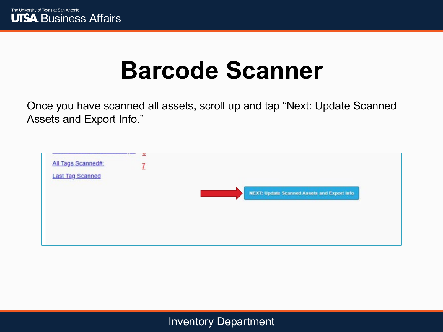

Once you have scanned all assets, scroll up and tap "Next: Update Scanned Assets and Export Info."

| All Tags Scanned#:      | ×<br>7 |                                                    |
|-------------------------|--------|----------------------------------------------------|
| <b>Last Tag Scanned</b> |        |                                                    |
|                         |        | <b>NEXT: Update Scanned Assets and Export Info</b> |
|                         |        |                                                    |
|                         |        |                                                    |
|                         |        |                                                    |
|                         |        |                                                    |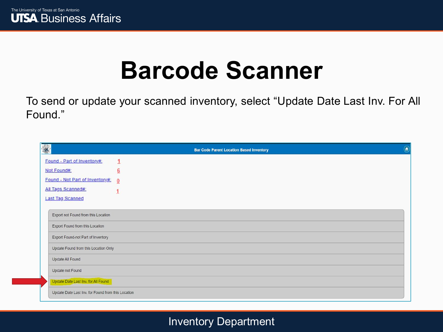

To send or update your scanned inventory, select "Update Date Last Inv. For All Found."

|                                                    |                 | <b>Bar Code Parent Location Based Inventory</b> | $\circledast$ |
|----------------------------------------------------|-----------------|-------------------------------------------------|---------------|
| Found - Part of Inventory#:                        | 1               |                                                 |               |
| Not Found#:                                        | $\underline{6}$ |                                                 |               |
| Found - Not Part of Inventory#:                    | $\bf{0}$        |                                                 |               |
| All Tags Scanned#:                                 |                 |                                                 |               |
| <b>Last Tag Scanned</b>                            |                 |                                                 |               |
| Export not Found from this Location                |                 |                                                 |               |
| Export Found from this Location                    |                 |                                                 |               |
| Export Found-not Part of Inventory                 |                 |                                                 |               |
| Update Found from this Location Only               |                 |                                                 |               |
| Update All Found                                   |                 |                                                 |               |
| Update not Found                                   |                 |                                                 |               |
| Update Date Last Inv. for All Found                |                 |                                                 |               |
| Update Date Last Inv. for Found from this Location |                 |                                                 |               |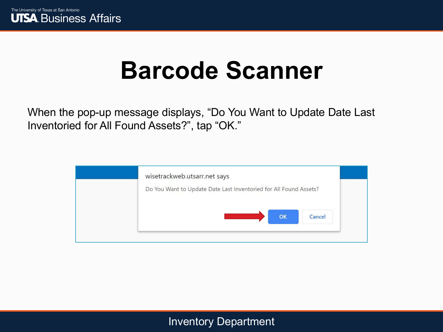

When the pop-up message displays, "Do You Want to Update Date Last Inventoried for All Found Assets?", tap "OK."

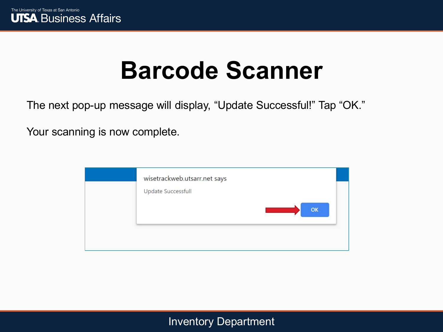

The next pop-up message will display, "Update Successful!" Tap "OK."

Your scanning is now complete.

| wisetrackweb.utsarr.net says<br>Update Successfull<br>OK |  |
|----------------------------------------------------------|--|
|                                                          |  |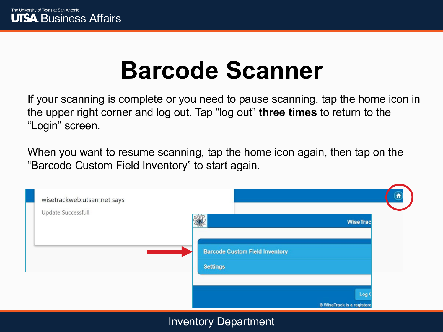If your scanning is complete or you need to pause scanning, tap the home icon in the upper right corner and log out. Tap "log out" **three times** to return to the "Login" screen.

When you want to resume scanning, tap the home icon again, then tap on the "Barcode Custom Field Inventory" to start again.

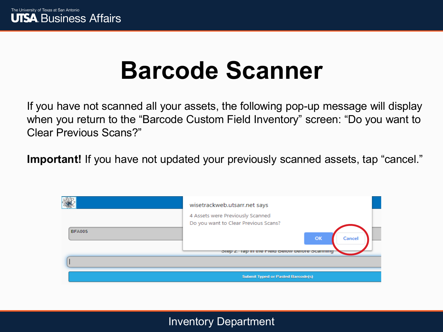If you have not scanned all your assets, the following pop-up message will display when you return to the "Barcode Custom Field Inventory" screen: "Do you want to Clear Previous Scans?"

**Important!** If you have not updated your previously scanned assets, tap "cancel."

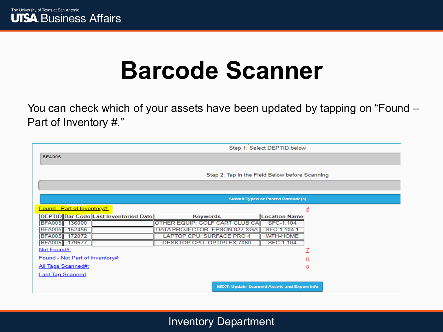

You can check which of your assets have been updated by tapping on "Found – Part of Inventory #."

|                                                                                                                                                                                                                                                                               |                                                                                                                                                      | Step 1: Select DEPTID below                                                                     |
|-------------------------------------------------------------------------------------------------------------------------------------------------------------------------------------------------------------------------------------------------------------------------------|------------------------------------------------------------------------------------------------------------------------------------------------------|-------------------------------------------------------------------------------------------------|
| <b>BFA005</b>                                                                                                                                                                                                                                                                 |                                                                                                                                                      |                                                                                                 |
|                                                                                                                                                                                                                                                                               |                                                                                                                                                      | Step 2: Tap in the Field Below before Scanning                                                  |
|                                                                                                                                                                                                                                                                               |                                                                                                                                                      |                                                                                                 |
|                                                                                                                                                                                                                                                                               |                                                                                                                                                      | <b>Submit Typed or Pasted Barcode(s)</b>                                                        |
| <b>Found - Part of Inventory#:</b><br><b>DEPTID Bar Code Last Inventoried Date</b><br>BFA005 136000<br><b>BFA005</b><br>152456<br><b>BFA005</b><br>172072<br>BFA005 179577<br>Not Found#:<br>Found - Not Part of Inventory#:<br>All Tags Scanned#:<br><b>Last Tag Scanned</b> | <b>Keywords</b><br>OTHER EQUIP: GOLF CART CLUB CA<br>DATA PROJECTOR: EPSON 822 XGA<br>LAPTOP CPU: SURFACE PRO 4<br><b>DESKTOP CPU: OPTIPLEX 7060</b> | 4<br><b>Location Name</b><br>SFC-1.104<br>SFC-1.104.1<br><b>WFH-HOME</b><br>SFC-1.104<br>₫<br>ο |
|                                                                                                                                                                                                                                                                               |                                                                                                                                                      | <b>NEXT: Update Scanned Assets and Export Info</b>                                              |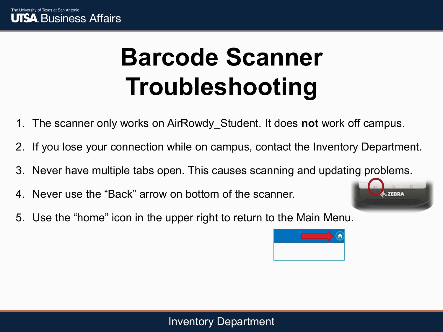# **Barcode Scanner Troubleshooting**

- 1. The scanner only works on AirRowdy\_Student. It does **not** work off campus.
- 2. If you lose your connection while on campus, contact the Inventory Department.
- 3. Never have multiple tabs open. This causes scanning and updating problems.
- 4. Never use the "Back" arrow on bottom of the scanner.
- 5. Use the "home" icon in the upper right to return to the Main Menu.



**L. ZEBRA**